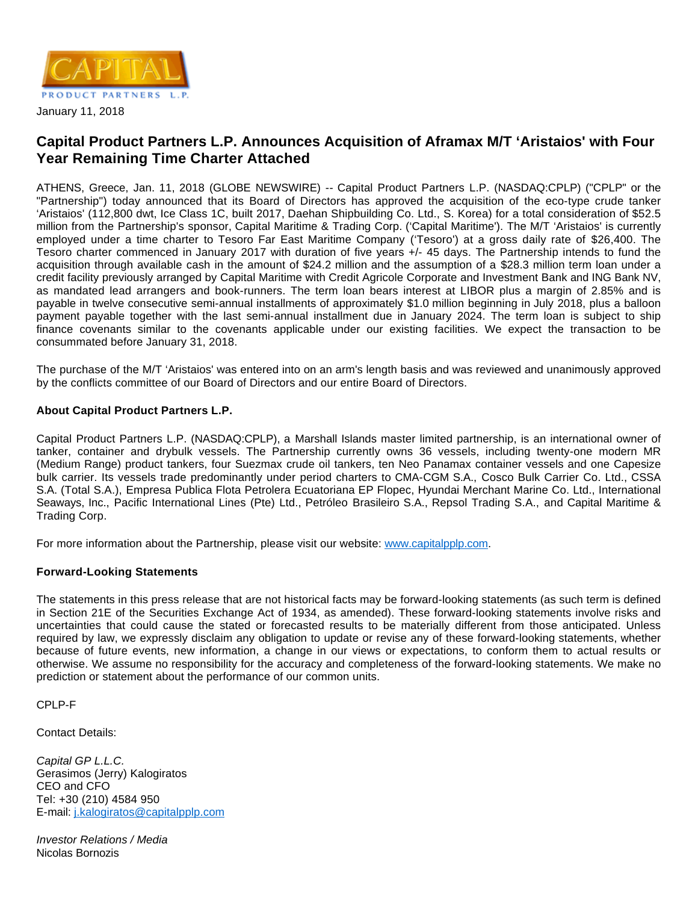

## **Capital Product Partners L.P. Announces Acquisition of Aframax M/T 'Aristaios' with Four Year Remaining Time Charter Attached**

ATHENS, Greece, Jan. 11, 2018 (GLOBE NEWSWIRE) -- Capital Product Partners L.P. (NASDAQ:CPLP) ("CPLP" or the "Partnership") today announced that its Board of Directors has approved the acquisition of the eco-type crude tanker 'Aristaios' (112,800 dwt, Ice Class 1C, built 2017, Daehan Shipbuilding Co. Ltd., S. Korea) for a total consideration of \$52.5 million from the Partnership's sponsor, Capital Maritime & Trading Corp. ('Capital Maritime'). The M/T 'Aristaios' is currently employed under a time charter to Tesoro Far East Maritime Company ('Tesoro') at a gross daily rate of \$26,400. The Tesoro charter commenced in January 2017 with duration of five years +/- 45 days. The Partnership intends to fund the acquisition through available cash in the amount of \$24.2 million and the assumption of a \$28.3 million term loan under a credit facility previously arranged by Capital Maritime with Credit Agricole Corporate and Investment Bank and ING Bank NV, as mandated lead arrangers and book-runners. The term loan bears interest at LIBOR plus a margin of 2.85% and is payable in twelve consecutive semi-annual installments of approximately \$1.0 million beginning in July 2018, plus a balloon payment payable together with the last semi-annual installment due in January 2024. The term loan is subject to ship finance covenants similar to the covenants applicable under our existing facilities. We expect the transaction to be consummated before January 31, 2018.

The purchase of the M/T 'Aristaios' was entered into on an arm's length basis and was reviewed and unanimously approved by the conflicts committee of our Board of Directors and our entire Board of Directors.

## **About Capital Product Partners L.P.**

Capital Product Partners L.P. (NASDAQ:CPLP), a Marshall Islands master limited partnership, is an international owner of tanker, container and drybulk vessels. The Partnership currently owns 36 vessels, including twenty-one modern MR (Medium Range) product tankers, four Suezmax crude oil tankers, ten Neo Panamax container vessels and one Capesize bulk carrier. Its vessels trade predominantly under period charters to CMA-CGM S.A., Cosco Bulk Carrier Co. Ltd., CSSA S.A. (Total S.A.), Empresa Publica Flota Petrolera Ecuatoriana EP Flopec, Hyundai Merchant Marine Co. Ltd., International Seaways, Inc., Pacific International Lines (Pte) Ltd., Petróleo Brasileiro S.A., Repsol Trading S.A., and Capital Maritime & Trading Corp.

For more information about the Partnership, please visit our website: [www.capitalpplp.com](http://www.capitalpplp.com/).

## **Forward-Looking Statements**

The statements in this press release that are not historical facts may be forward-looking statements (as such term is defined in Section 21E of the Securities Exchange Act of 1934, as amended). These forward-looking statements involve risks and uncertainties that could cause the stated or forecasted results to be materially different from those anticipated. Unless required by law, we expressly disclaim any obligation to update or revise any of these forward-looking statements, whether because of future events, new information, a change in our views or expectations, to conform them to actual results or otherwise. We assume no responsibility for the accuracy and completeness of the forward-looking statements. We make no prediction or statement about the performance of our common units.

CPLP-F

Contact Details:

Capital GP L.L.C. Gerasimos (Jerry) Kalogiratos CEO and CFO Tel: +30 (210) 4584 950 E-mail: [j.kalogiratos@capitalpplp.com](mailto:j.kalogiratos@capitalpplp.com)

Investor Relations / Media Nicolas Bornozis